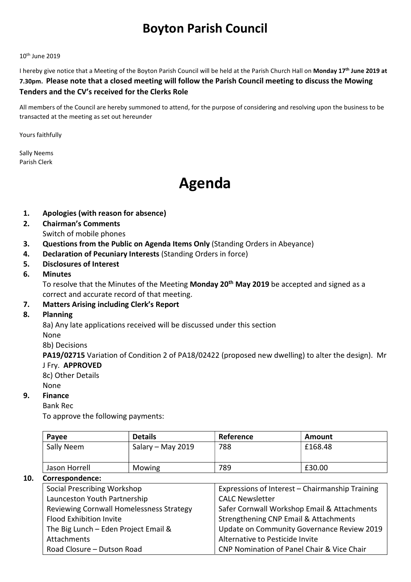## Boyton Parish Council

#### 10th June 2019

I hereby give notice that a Meeting of the Boyton Parish Council will be held at the Parish Church Hall on Monday 17<sup>th</sup> June 2019 at 7.30pm. Please note that a closed meeting will follow the Parish Council meeting to discuss the Mowing Tenders and the CV's received for the Clerks Role

All members of the Council are hereby summoned to attend, for the purpose of considering and resolving upon the business to be transacted at the meeting as set out hereunder

Yours faithfully

Sally Neems Parish Clerk

# Agenda

- 1. Apologies (with reason for absence)
- 2. Chairman's Comments Switch of mobile phones
- 3. Questions from the Public on Agenda Items Only (Standing Orders in Abeyance)
- 4. Declaration of Pecuniary Interests (Standing Orders in force)
- 5. Disclosures of Interest
- 6. Minutes

To resolve that the Minutes of the Meeting Monday 20<sup>th</sup> May 2019 be accepted and signed as a correct and accurate record of that meeting.

#### 7. Matters Arising including Clerk's Report

#### 8. Planning

8a) Any late applications received will be discussed under this section

None

8b) Decisions

PA19/02715 Variation of Condition 2 of PA18/02422 (proposed new dwelling) to alter the design). Mr J Fry. APPROVED

8c) Other Details

#### None

#### 9. Finance

Bank Rec

To approve the following payments:

| Payee         | <b>Details</b>    | Reference | Amount  |
|---------------|-------------------|-----------|---------|
| Sally Neem    | Salary - May 2019 | 788       | £168.48 |
| Jason Horrell | Mowing            | 789       | £30.00  |

#### 10. Correspondence:

| <b>Social Prescribing Workshop</b>       | Expressions of Interest - Chairmanship Training |  |
|------------------------------------------|-------------------------------------------------|--|
| Launceston Youth Partnership             | <b>CALC Newsletter</b>                          |  |
| Reviewing Cornwall Homelessness Strategy | Safer Cornwall Workshop Email & Attachments     |  |
| <b>Flood Exhibition Invite</b>           | Strengthening CNP Email & Attachments           |  |
| The Big Lunch - Eden Project Email &     | Update on Community Governance Review 2019      |  |
| Attachments                              | Alternative to Pesticide Invite                 |  |
| Road Closure - Dutson Road               | CNP Nomination of Panel Chair & Vice Chair      |  |